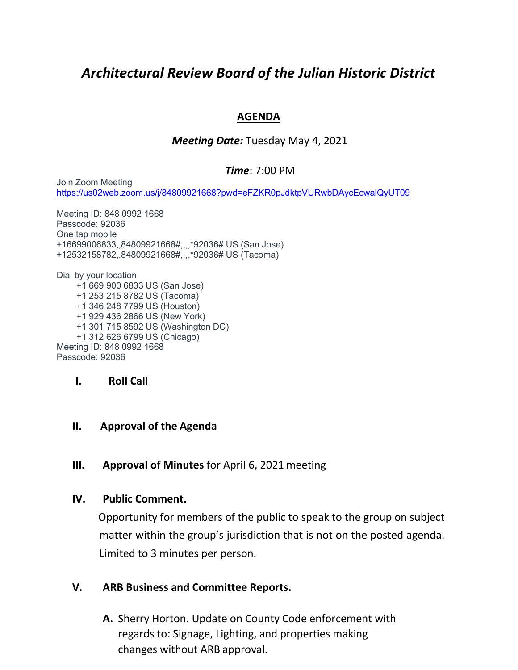# *Architectural Review Board of the Julian Historic District*

## **AGENDA**

## *Meeting Date:* Tuesday May 4, 2021

#### *Time*: 7:00 PM

Join Zoom Meeting <https://us02web.zoom.us/j/84809921668?pwd=eFZKR0pJdktpVURwbDAycEcwalQyUT09>

Meeting ID: 848 0992 1668 Passcode: 92036 One tap mobile +16699006833,,84809921668#,,,,\*92036# US (San Jose) +12532158782,,84809921668#,,,,\*92036# US (Tacoma)

Dial by your location +1 669 900 6833 US (San Jose) +1 253 215 8782 US (Tacoma) +1 346 248 7799 US (Houston) +1 929 436 2866 US (New York) +1 301 715 8592 US (Washington DC) +1 312 626 6799 US (Chicago) Meeting ID: 848 0992 1668 Passcode: 92036

#### **I. Roll Call**

#### **II. Approval of the Agenda**

## **III. Approval of Minutes** for April 6, 2021 meeting

#### **IV. Public Comment.**

Opportunity for members of the public to speak to the group on subject matter within the group's jurisdiction that is not on the posted agenda. Limited to 3 minutes per person.

## **V. ARB Business and Committee Reports.**

**A.** Sherry Horton. Update on County Code enforcement with regards to: Signage, Lighting, and properties making changes without ARB approval.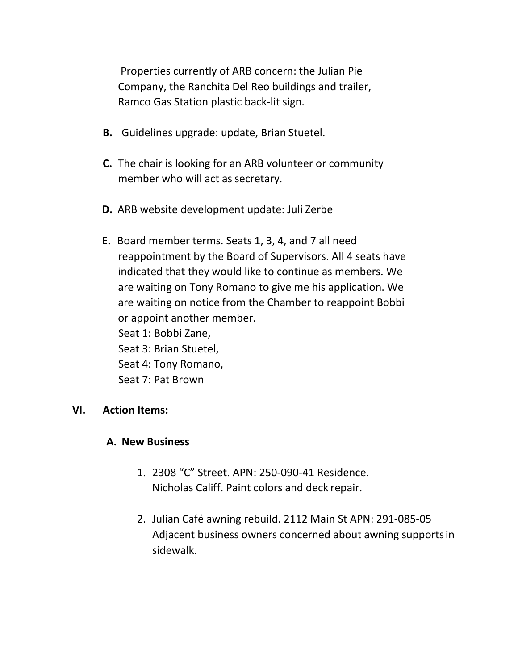Properties currently of ARB concern: the Julian Pie Company, the Ranchita Del Reo buildings and trailer, Ramco Gas Station plastic back-lit sign.

- **B.** Guidelines upgrade: update, Brian Stuetel.
- **C.** The chair is looking for an ARB volunteer or community member who will act as secretary.
- **D.** ARB website development update: Juli Zerbe
- **E.** Board member terms. Seats 1, 3, 4, and 7 all need reappointment by the Board of Supervisors. All 4 seats have indicated that they would like to continue as members. We are waiting on Tony Romano to give me his application. We are waiting on notice from the Chamber to reappoint Bobbi or appoint another member. Seat 1: Bobbi Zane, Seat 3: Brian Stuetel, Seat 4: Tony Romano, Seat 7: Pat Brown

## **VI. Action Items:**

#### **A. New Business**

- 1. 2308 "C" Street. APN: 250-090-41 Residence. Nicholas Califf. Paint colors and deck repair.
- 2. Julian Café awning rebuild. 2112 Main St APN: 291-085-05 Adjacent business owners concerned about awning supportsin sidewalk.